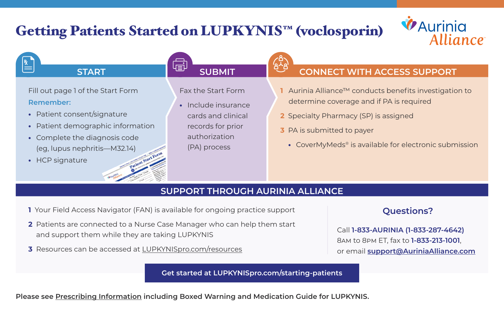## Getting Patients Started on LUPKYNIS™ (voclosporin)





## **SUPPORT THROUGH AURINIA ALLIANCE**

- **1** Your Field Access Navigator (FAN) is available for ongoing practice support
- **2** Patients are connected to a Nurse Case Manager who can help them start and support them while they are taking LUPKYNIS
- **3** Resources can be accessed at [LUPKYNISpro.com/resources](http://LUPKYNISpro.com/resources)

## **Questions?**

Call **1-833-AURINIA (1-833-287-4642)** 8am to 8pm ET, fax to **1-833-213-1001**, or email **[support@AuriniaAlliance.com](mailto:support@AuriniaAlliance.com)**

**[Get started at LUPKYNISpro.com/starting-patients](http://LUPKYNISpro.com/starting-patients)**

**Please see [Prescribing Information](http://www.auriniapharma.com/lupkynis-prescribing-information) including Boxed Warning and Medication Guide for LUPKYNIS.**